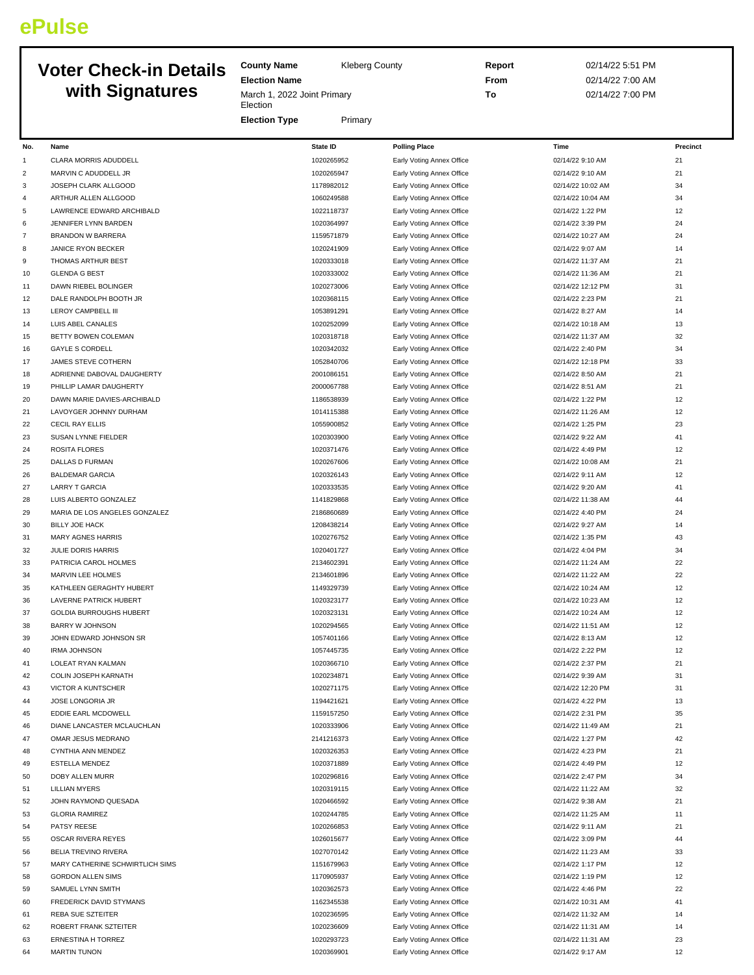# **ePulse**

## **Voter Check-in Details with Signatures**

**County Name** Kleberg County

**Election Name**

**Election** 

March 1, 2022 Joint Primary

**Report** 02/14/22 5:51 PM **From** 02/14/22 7:00 AM **To** 02/14/22 7:00 PM

|                |                                                  | <b>Election Type</b> | Primary                  |                                                        |                                       |          |
|----------------|--------------------------------------------------|----------------------|--------------------------|--------------------------------------------------------|---------------------------------------|----------|
|                |                                                  |                      |                          |                                                        |                                       |          |
| No.            | Name                                             |                      | <b>State ID</b>          | <b>Polling Place</b>                                   | Time                                  | Precinct |
| $\mathbf{1}$   | CLARA MORRIS ADUDDELL                            |                      | 1020265952               | Early Voting Annex Office                              | 02/14/22 9:10 AM                      | 21       |
| $\overline{c}$ | MARVIN C ADUDDELL JR                             |                      | 1020265947               | Early Voting Annex Office                              | 02/14/22 9:10 AM                      | 21       |
| 3              | JOSEPH CLARK ALLGOOD                             |                      | 1178982012               | Early Voting Annex Office                              | 02/14/22 10:02 AM                     | 34       |
| 4<br>5         | ARTHUR ALLEN ALLGOOD                             |                      | 1060249588               | Early Voting Annex Office                              | 02/14/22 10:04 AM                     | 34       |
|                | LAWRENCE EDWARD ARCHIBALD                        |                      | 1022118737<br>1020364997 | Early Voting Annex Office                              | 02/14/22 1:22 PM                      | 12<br>24 |
| 6<br>7         | JENNIFER LYNN BARDEN<br><b>BRANDON W BARRERA</b> |                      |                          | Early Voting Annex Office<br>Early Voting Annex Office | 02/14/22 3:39 PM                      | 24       |
| 8              | JANICE RYON BECKER                               |                      | 1159571879<br>1020241909 |                                                        | 02/14/22 10:27 AM<br>02/14/22 9:07 AM | 14       |
| 9              | THOMAS ARTHUR BEST                               |                      | 1020333018               | Early Voting Annex Office<br>Early Voting Annex Office | 02/14/22 11:37 AM                     | 21       |
| 10             | <b>GLENDA G BEST</b>                             |                      | 1020333002               | Early Voting Annex Office                              | 02/14/22 11:36 AM                     | 21       |
| 11             | DAWN RIEBEL BOLINGER                             |                      | 1020273006               | Early Voting Annex Office                              | 02/14/22 12:12 PM                     | 31       |
| 12             | DALE RANDOLPH BOOTH JR                           |                      | 1020368115               | Early Voting Annex Office                              | 02/14/22 2:23 PM                      | 21       |
| 13             | LEROY CAMPBELL III                               |                      | 1053891291               | Early Voting Annex Office                              | 02/14/22 8:27 AM                      | 14       |
| 14             | LUIS ABEL CANALES                                |                      | 1020252099               | Early Voting Annex Office                              | 02/14/22 10:18 AM                     | 13       |
| 15             | BETTY BOWEN COLEMAN                              |                      | 1020318718               | Early Voting Annex Office                              | 02/14/22 11:37 AM                     | 32       |
| 16             | <b>GAYLE S CORDELL</b>                           |                      | 1020342032               | Early Voting Annex Office                              | 02/14/22 2:40 PM                      | 34       |
| 17             | JAMES STEVE COTHERN                              |                      | 1052840706               | Early Voting Annex Office                              | 02/14/22 12:18 PM                     | 33       |
| 18             | ADRIENNE DABOVAL DAUGHERTY                       |                      | 2001086151               | Early Voting Annex Office                              | 02/14/22 8:50 AM                      | 21       |
| 19             | PHILLIP LAMAR DAUGHERTY                          |                      | 2000067788               | Early Voting Annex Office                              | 02/14/22 8:51 AM                      | 21       |
| 20             | DAWN MARIE DAVIES-ARCHIBALD                      |                      | 1186538939               | Early Voting Annex Office                              | 02/14/22 1:22 PM                      | 12       |
| 21             | LAVOYGER JOHNNY DURHAM                           |                      | 1014115388               | Early Voting Annex Office                              | 02/14/22 11:26 AM                     | 12       |
| 22             | CECIL RAY ELLIS                                  |                      | 1055900852               | Early Voting Annex Office                              | 02/14/22 1:25 PM                      | 23       |
| 23             | SUSAN LYNNE FIELDER                              |                      | 1020303900               | Early Voting Annex Office                              | 02/14/22 9:22 AM                      | 41       |
| 24             | <b>ROSITA FLORES</b>                             |                      | 1020371476               | Early Voting Annex Office                              | 02/14/22 4:49 PM                      | 12       |
| 25             | DALLAS D FURMAN                                  |                      | 1020267606               | Early Voting Annex Office                              | 02/14/22 10:08 AM                     | 21       |
| 26             | <b>BALDEMAR GARCIA</b>                           |                      | 1020326143               | Early Voting Annex Office                              | 02/14/22 9:11 AM                      | 12       |
| 27             | <b>LARRY T GARCIA</b>                            |                      | 1020333535               | Early Voting Annex Office                              | 02/14/22 9:20 AM                      | 41       |
| 28             | LUIS ALBERTO GONZALEZ                            |                      | 1141829868               | Early Voting Annex Office                              | 02/14/22 11:38 AM                     | 44       |
| 29             | MARIA DE LOS ANGELES GONZALEZ                    |                      | 2186860689               | Early Voting Annex Office                              | 02/14/22 4:40 PM                      | 24       |
| 30             | BILLY JOE HACK                                   |                      | 1208438214               | Early Voting Annex Office                              | 02/14/22 9:27 AM                      | 14       |
| 31             | MARY AGNES HARRIS                                |                      | 1020276752               | Early Voting Annex Office                              | 02/14/22 1:35 PM                      | 43       |
| 32             | JULIE DORIS HARRIS                               |                      | 1020401727               | Early Voting Annex Office                              | 02/14/22 4:04 PM                      | 34       |
| 33             | PATRICIA CAROL HOLMES                            |                      | 2134602391               | Early Voting Annex Office                              | 02/14/22 11:24 AM                     | 22       |
| 34             | MARVIN LEE HOLMES                                |                      | 2134601896               | Early Voting Annex Office                              | 02/14/22 11:22 AM                     | 22       |
| 35             | KATHLEEN GERAGHTY HUBERT                         |                      | 1149329739               | Early Voting Annex Office                              | 02/14/22 10:24 AM                     | 12       |
| 36             | LAVERNE PATRICK HUBERT                           |                      | 1020323177               | Early Voting Annex Office                              | 02/14/22 10:23 AM                     | 12       |
| 37             | <b>GOLDIA BURROUGHS HUBERT</b>                   |                      | 1020323131               | Early Voting Annex Office                              | 02/14/22 10:24 AM                     | 12       |
| 38             | <b>BARRY W JOHNSON</b>                           |                      | 1020294565               | Early Voting Annex Office                              | 02/14/22 11:51 AM                     | 12       |
| 39             | JOHN EDWARD JOHNSON SR                           |                      | 1057401166               | Early Voting Annex Office                              | 02/14/22 8:13 AM                      | 12       |
| 40             | <b>IRMA JOHNSON</b>                              |                      | 1057445735               | Early Voting Annex Office                              | 02/14/22 2:22 PM                      | 12       |
| 41             | LOLEAT RYAN KALMAN                               |                      | 1020366710               | Early Voting Annex Office                              | 02/14/22 2:37 PM                      | 21       |
| 42             | COLIN JOSEPH KARNATH                             |                      | 1020234871               | Early Voting Annex Office                              | 02/14/22 9:39 AM                      | 31       |
| 43             | <b>VICTOR A KUNTSCHER</b>                        |                      | 1020271175               | Early Voting Annex Office                              | 02/14/22 12:20 PM                     | 31       |
| 44             | JOSE LONGORIA JR                                 |                      | 1194421621               | Early Voting Annex Office                              | 02/14/22 4:22 PM                      | 13       |
| 45             | EDDIE EARL MCDOWELL                              |                      | 1159157250               | Early Voting Annex Office                              | 02/14/22 2:31 PM                      | 35       |
| 46             | DIANE LANCASTER MCLAUCHLAN                       |                      | 1020333906               | Early Voting Annex Office                              | 02/14/22 11:49 AM                     | 21       |
| 47             | OMAR JESUS MEDRANO                               |                      | 2141216373               | Early Voting Annex Office                              | 02/14/22 1:27 PM                      | 42       |
| 48             | CYNTHIA ANN MENDEZ                               |                      | 1020326353               | Early Voting Annex Office                              | 02/14/22 4:23 PM                      | 21       |
| 49             | <b>ESTELLA MENDEZ</b>                            |                      | 1020371889               | Early Voting Annex Office                              | 02/14/22 4:49 PM                      | 12       |
| 50             | DOBY ALLEN MURR                                  |                      | 1020296816               | Early Voting Annex Office                              | 02/14/22 2:47 PM                      | 34       |
| 51<br>52       | <b>LILLIAN MYERS</b>                             |                      | 1020319115<br>1020466592 | Early Voting Annex Office                              | 02/14/22 11:22 AM<br>02/14/22 9:38 AM | 32<br>21 |
| 53             | JOHN RAYMOND QUESADA<br><b>GLORIA RAMIREZ</b>    |                      | 1020244785               | Early Voting Annex Office<br>Early Voting Annex Office | 02/14/22 11:25 AM                     | 11       |
| 54             | PATSY REESE                                      |                      |                          |                                                        |                                       | 21       |
| 55             | OSCAR RIVERA REYES                               |                      | 1020266853<br>1026015677 | Early Voting Annex Office<br>Early Voting Annex Office | 02/14/22 9:11 AM<br>02/14/22 3:09 PM  | 44       |
| 56             | BELIA TREVINO RIVERA                             |                      | 1027070142               | Early Voting Annex Office                              | 02/14/22 11:23 AM                     | 33       |
| 57             | MARY CATHERINE SCHWIRTLICH SIMS                  |                      | 1151679963               | Early Voting Annex Office                              | 02/14/22 1:17 PM                      | 12       |
| 58             | <b>GORDON ALLEN SIMS</b>                         |                      | 1170905937               | Early Voting Annex Office                              | 02/14/22 1:19 PM                      | 12       |
| 59             | SAMUEL LYNN SMITH                                |                      | 1020362573               | Early Voting Annex Office                              | 02/14/22 4:46 PM                      | 22       |
| 60             | FREDERICK DAVID STYMANS                          |                      | 1162345538               | Early Voting Annex Office                              | 02/14/22 10:31 AM                     | 41       |
| 61             | REBA SUE SZTEITER                                |                      | 1020236595               | Early Voting Annex Office                              | 02/14/22 11:32 AM                     | 14       |
| 62             | ROBERT FRANK SZTEITER                            |                      | 1020236609               | Early Voting Annex Office                              | 02/14/22 11:31 AM                     | 14       |
| 63             | ERNESTINA H TORREZ                               |                      | 1020293723               | Early Voting Annex Office                              | 02/14/22 11:31 AM                     | 23       |
| 64             | <b>MARTIN TUNON</b>                              |                      | 1020369901               | Early Voting Annex Office                              | 02/14/22 9:17 AM                      | 12       |